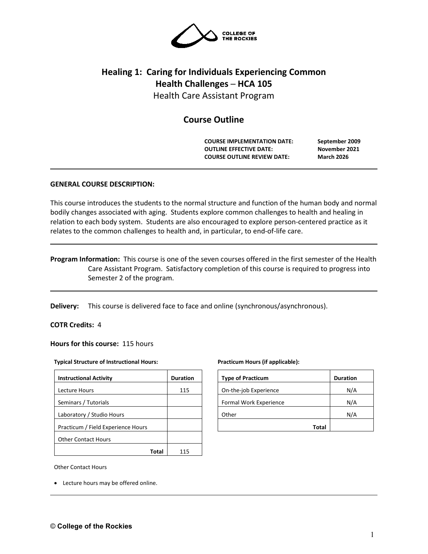

# **Healing 1: Caring for Individuals Experiencing Common Health Challenges ─ HCA 105** Health Care Assistant Program

## **Course Outline**

**COURSE IMPLEMENTATION DATE: September 2009 OUTLINE EFFECTIVE DATE: November 2021 COURSE OUTLINE REVIEW DATE: March 2026**

#### **GENERAL COURSE DESCRIPTION:**

This course introduces the students to the normal structure and function of the human body and normal bodily changes associated with aging. Students explore common challenges to health and healing in relation to each body system. Students are also encouraged to explore person-centered practice as it relates to the common challenges to health and, in particular, to end-of-life care.

## **Program Information:** This course is one of the seven courses offered in the first semester of the Health Care Assistant Program. Satisfactory completion of this course is required to progress into Semester 2 of the program.

**Delivery:** This course is delivered face to face and online (synchronous/asynchronous).

#### **COTR Credits:** 4

**Hours for this course:** 115 hours

#### **Typical Structure of Instructional Hours:**

| <b>Instructional Activity</b>      | <b>Duration</b> |
|------------------------------------|-----------------|
| Lecture Hours                      | 115             |
| Seminars / Tutorials               |                 |
| Laboratory / Studio Hours          |                 |
| Practicum / Field Experience Hours |                 |
| <b>Other Contact Hours</b>         |                 |
|                                    | 115             |

#### **Practicum Hours (if applicable):**

| <b>Type of Practicum</b> | <b>Duration</b> |
|--------------------------|-----------------|
| On-the-job Experience    | N/A             |
| Formal Work Experience   | N/A             |
| Other                    | N/A             |
| Total                    |                 |

Other Contact Hours

• Lecture hours may be offered online.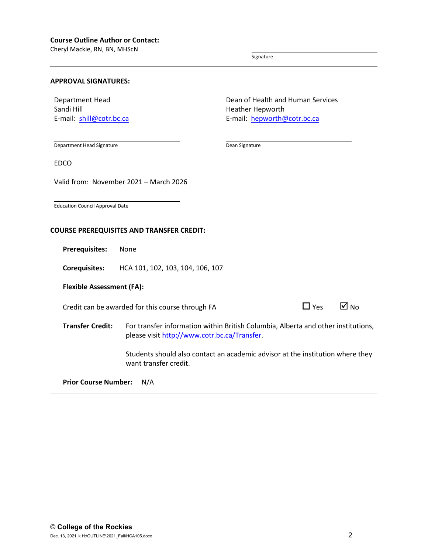Cheryl Mackie, RN, BN, MHScN

Signature

Dean Signature

#### **APPROVAL SIGNATURES:**

Department Head Sandi Hill E-mail: [shill@cotr.bc.ca](mailto:shill@cotr.bc.ca) Dean of Health and Human Services Heather Hepworth E-mail: hepwort[h@cotr.bc.ca](mailto:h@cotr.bc.ca)

Department Head Signature

EDCO

Valid from: November 2021 – March 2026

Education Council Approval Date

#### **COURSE PREREQUISITES AND TRANSFER CREDIT:**

**Prerequisites:** None

**Corequisites:** HCA 101, 102, 103, 104, 106, 107

#### **Flexible Assessment (FA):**

Credit can be awarded for this course through FA  $\Box$  Yes  $\Box$  No

| Yes | ☑ No |  |
|-----|------|--|
|     |      |  |

**Transfer Credit:** For transfer information within British Columbia, Alberta and other institutions, please visit [http://www.cotr.bc.ca/Transfer.](http://www.cotr.bc.ca/Transfer)

> Students should also contact an academic advisor at the institution where they want transfer credit.

**Prior Course Number:** N/A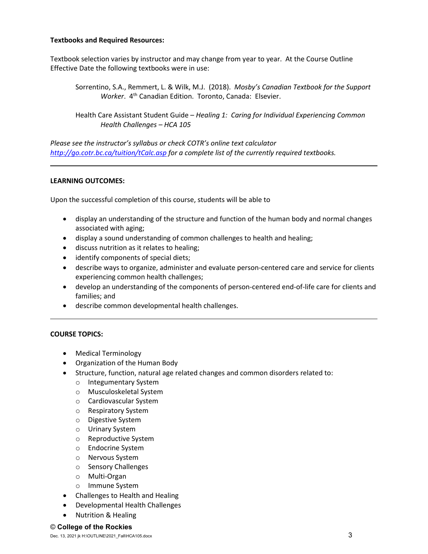### **Textbooks and Required Resources:**

Textbook selection varies by instructor and may change from year to year. At the Course Outline Effective Date the following textbooks were in use:

Sorrentino, S.A., Remmert, L. & Wilk, M.J. (2018). *Mosby's Canadian Textbook for the Support Worker*. 4th Canadian Edition. Toronto, Canada: Elsevier.

Health Care Assistant Student Guide – *Healing 1: Caring for Individual Experiencing Common Health Challenges – HCA 105*

*Please see the instructor's syllabus or check COTR's online text calculator <http://go.cotr.bc.ca/tuition/tCalc.asp> for a complete list of the currently required textbooks.*

## **LEARNING OUTCOMES:**

Upon the successful completion of this course, students will be able to

- display an understanding of the structure and function of the human body and normal changes associated with aging;
- display a sound understanding of common challenges to health and healing;
- discuss nutrition as it relates to healing;
- identify components of special diets;
- describe ways to organize, administer and evaluate person-centered care and service for clients experiencing common health challenges;
- develop an understanding of the components of person-centered end-of-life care for clients and families; and
- describe common developmental health challenges.

#### **COURSE TOPICS:**

- Medical Terminology
- Organization of the Human Body
- Structure, function, natural age related changes and common disorders related to:
	- o Integumentary System
	- o Musculoskeletal System
	- o Cardiovascular System
	- o Respiratory System
	- o Digestive System
	- o Urinary System
	- o Reproductive System
	- o Endocrine System
	- o Nervous System
	- o Sensory Challenges
	- o Multi-Organ
	- o Immune System
- Challenges to Health and Healing
- Developmental Health Challenges
- Nutrition & Healing

#### © **College of the Rockies**

Dec. 13, 2021 jk H:\OUTLINE\2021\_Fall\HCA105.docx 3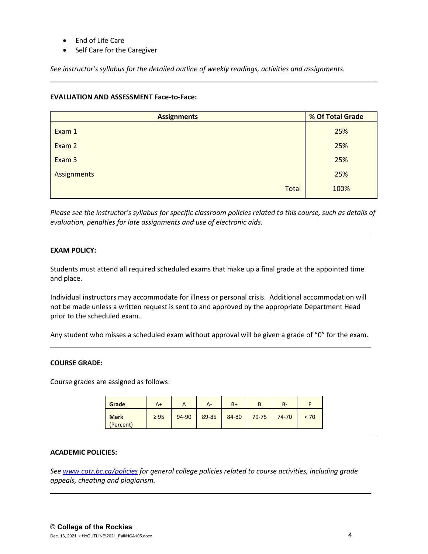- End of Life Care
- Self Care for the Caregiver

*See instructor's syllabus for the detailed outline of weekly readings, activities and assignments.* 

### **EVALUATION AND ASSESSMENT Face-to-Face:**

| <b>Assignments</b> | % Of Total Grade |  |  |
|--------------------|------------------|--|--|
| Exam 1             | 25%              |  |  |
| Exam 2             | 25%              |  |  |
| Exam 3             | 25%              |  |  |
| Assignments        | 25%              |  |  |
| <b>Total</b>       | 100%             |  |  |

*Please see the instructor's syllabus for specific classroom policies related to this course, such as details of evaluation, penalties for late assignments and use of electronic aids.*

#### **EXAM POLICY:**

Students must attend all required scheduled exams that make up a final grade at the appointed time and place.

Individual instructors may accommodate for illness or personal crisis. Additional accommodation will not be made unless a written request is sent to and approved by the appropriate Department Head prior to the scheduled exam.

Any student who misses a scheduled exam without approval will be given a grade of "0" for the exam.

#### **COURSE GRADE:**

Course grades are assigned as follows:

| Grade                    | A+        |       | А-    | $B+$  |           | $B -$ |      |
|--------------------------|-----------|-------|-------|-------|-----------|-------|------|
| <b>Mark</b><br>(Percent) | $\geq$ 95 | 94-90 | 89-85 | 84-80 | $79 - 75$ | 74-70 | < 70 |

#### **ACADEMIC POLICIES:**

*See [www.cotr.bc.ca/policies](http://www.cotr.bc.ca/policies) for general college policies related to course activities, including grade appeals, cheating and plagiarism.*